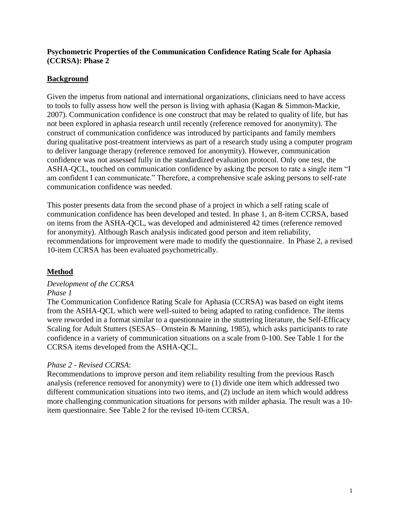### **Psychometric Properties of the Communication Confidence Rating Scale for Aphasia (CCRSA): Phase 2**

# **Background**

Given the impetus from national and international organizations, clinicians need to have access to tools to fully assess how well the person is living with aphasia (Kagan & Simmon-Mackie, 2007). Communication confidence is one construct that may be related to quality of life, but has not been explored in aphasia research until recently (reference removed for anonymity). The construct of communication confidence was introduced by participants and family members during qualitative post-treatment interviews as part of a research study using a computer program to deliver language therapy (reference removed for anonymity). However, communication confidence was not assessed fully in the standardized evaluation protocol. Only one test, the ASHA-QCL, touched on communication confidence by asking the person to rate a single item "I am confident I can communicate." Therefore, a comprehensive scale asking persons to self-rate communication confidence was needed.

This poster presents data from the second phase of a project in which a self rating scale of communication confidence has been developed and tested. In phase 1, an 8-item CCRSA, based on items from the ASHA-QCL, was developed and administered 42 times (reference removed for anonymity). Although Rasch analysis indicated good person and item reliability, recommendations for improvement were made to modify the questionnaire. In Phase 2, a revised 10-item CCRSA has been evaluated psychometrically.

# **Method**

### *Development of the CCRSA Phase 1*

The Communication Confidence Rating Scale for Aphasia (CCRSA) was based on eight items from the ASHA-QCL which were well-suited to being adapted to rating confidence. The items were reworded in a format similar to a questionnaire in the stuttering literature, the Self-Efficacy Scaling for Adult Stutters (SESAS– Ornstein & Manning, 1985), which asks participants to rate confidence in a variety of communication situations on a scale from 0-100. See Table 1 for the CCRSA items developed from the ASHA-QCL.

### *Phase 2 - Revised CCRSA*:

Recommendations to improve person and item reliability resulting from the previous Rasch analysis (reference removed for anonymity) were to (1) divide one item which addressed two different communication situations into two items, and (2) include an item which would address more challenging communication situations for persons with milder aphasia. The result was a 10 item questionnaire. See Table 2 for the revised 10-item CCRSA.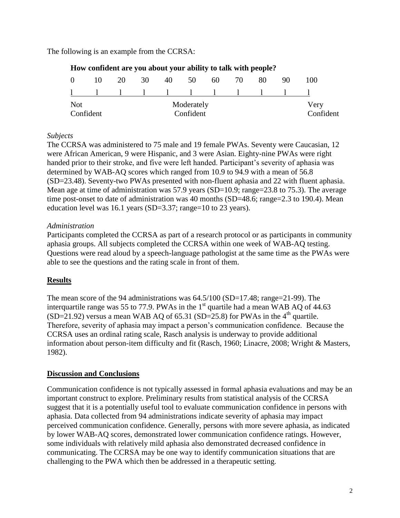The following is an example from the CCRSA:

|                          |                               | Trow comment are you about your ability to tain with people. |           |       |    |  |       |    |    |      |
|--------------------------|-------------------------------|--------------------------------------------------------------|-----------|-------|----|--|-------|----|----|------|
| $\vert 0 \vert$          |                               | 10 20                                                        |           | 30 40 | 50 |  | 60 70 | 80 | 90 | 100  |
|                          | $\mathbf{1}$ and $\mathbf{1}$ |                                                              |           |       |    |  |       |    |    |      |
| <b>Not</b><br>Moderately |                               |                                                              |           |       |    |  |       |    |    | Very |
| Confident                |                               |                                                              | Confident |       |    |  |       |    |    |      |

# **How confident are you about your ability to talk with people?**

### *Subjects*

The CCRSA was administered to 75 male and 19 female PWAs. Seventy were Caucasian, 12 were African American, 9 were Hispanic, and 3 were Asian. Eighty-nine PWAs were right handed prior to their stroke, and five were left handed. Participant's severity of aphasia was determined by WAB-AQ scores which ranged from 10.9 to 94.9 with a mean of 56.8 (SD=23.48). Seventy-two PWAs presented with non-fluent aphasia and 22 with fluent aphasia. Mean age at time of administration was 57.9 years (SD=10.9; range=23.8 to 75.3). The average time post-onset to date of administration was 40 months (SD=48.6; range=2.3 to 190.4). Mean education level was 16.1 years (SD=3.37; range=10 to 23 years).

## *Administration*

Participants completed the CCRSA as part of a research protocol or as participants in community aphasia groups. All subjects completed the CCRSA within one week of WAB-AQ testing. Questions were read aloud by a speech-language pathologist at the same time as the PWAs were able to see the questions and the rating scale in front of them.

# **Results**

The mean score of the 94 administrations was 64.5/100 (SD=17.48; range=21-99). The interquartile range was 55 to 77.9. PWAs in the  $1<sup>st</sup>$  quartile had a mean WAB AQ of 44.63 (SD=21.92) versus a mean WAB AQ of 65.31 (SD=25.8) for PWAs in the  $4<sup>th</sup>$  quartile. Therefore, severity of aphasia may impact a person's communication confidence. Because the CCRSA uses an ordinal rating scale, Rasch analysis is underway to provide additional information about person-item difficulty and fit (Rasch, 1960; Linacre, 2008; Wright & Masters, 1982).

### **Discussion and Conclusions**

Communication confidence is not typically assessed in formal aphasia evaluations and may be an important construct to explore. Preliminary results from statistical analysis of the CCRSA suggest that it is a potentially useful tool to evaluate communication confidence in persons with aphasia. Data collected from 94 administrations indicate severity of aphasia may impact perceived communication confidence. Generally, persons with more severe aphasia, as indicated by lower WAB-AQ scores, demonstrated lower communication confidence ratings. However, some individuals with relatively mild aphasia also demonstrated decreased confidence in communicating. The CCRSA may be one way to identify communication situations that are challenging to the PWA which then be addressed in a therapeutic setting.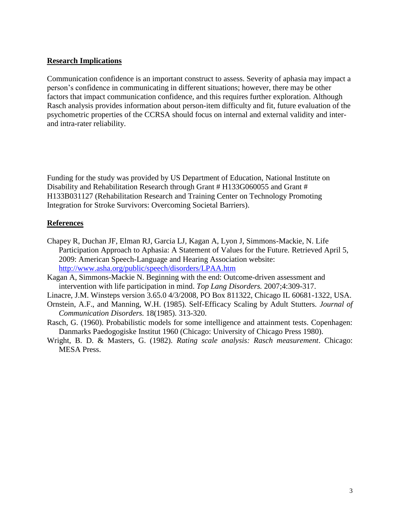#### **Research Implications**

Communication confidence is an important construct to assess. Severity of aphasia may impact a person's confidence in communicating in different situations; however, there may be other factors that impact communication confidence, and this requires further exploration. Although Rasch analysis provides information about person-item difficulty and fit, future evaluation of the psychometric properties of the CCRSA should focus on internal and external validity and interand intra-rater reliability.

Funding for the study was provided by US Department of Education, National Institute on Disability and Rehabilitation Research through Grant # H133G060055 and Grant # H133B031127 (Rehabilitation Research and Training Center on Technology Promoting Integration for Stroke Survivors: Overcoming Societal Barriers).

#### **References**

- Chapey R, Duchan JF, Elman RJ, Garcia LJ, Kagan A, Lyon J, Simmons-Mackie, N. Life Participation Approach to Aphasia: A Statement of Values for the Future. Retrieved April 5, 2009: American Speech-Language and Hearing Association website: <http://www.asha.org/public/speech/disorders/LPAA.htm>
- Kagan A, Simmons-Mackie N. Beginning with the end: Outcome-driven assessment and intervention with life participation in mind. *Top Lang Disorders.* 2007;4:309-317.
- Linacre, J.M. Winsteps version 3.65.0 4/3/2008, PO Box 811322, Chicago IL 60681-1322, USA.
- Ornstein, A.F., and Manning, W.H. (1985). Self-Efficacy Scaling by Adult Stutters. *Journal of Communication Disorders.* 18(1985). 313-320.
- Rasch, G. (1960). Probabilistic models for some intelligence and attainment tests. Copenhagen: Danmarks Paedogogiske Institut 1960 (Chicago: University of Chicago Press 1980).
- Wright, B. D. & Masters, G. (1982). *Rating scale analysis: Rasch measurement*. Chicago: MESA Press.